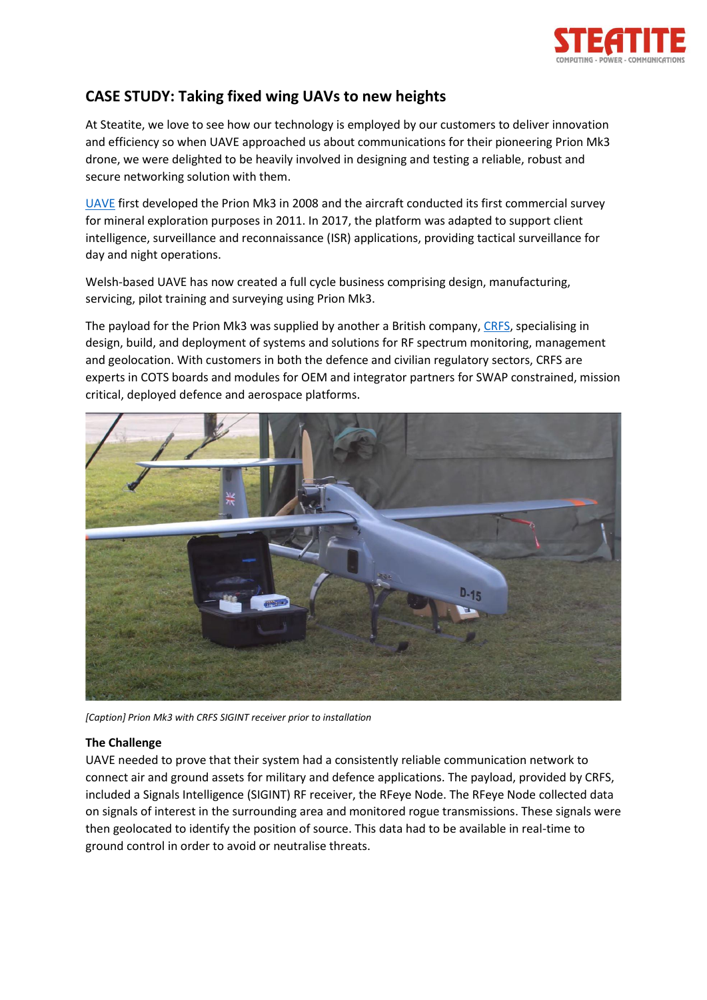

## **CASE STUDY: Taking fixed wing UAVs to new heights**

At Steatite, we love to see how our technology is employed by our customers to deliver innovation and efficiency so when UAVE approached us about communications for their pioneering Prion Mk3 drone, we were delighted to be heavily involved in designing and testing a reliable, robust and secure networking solution with them.

[UAVE](https://www.uave.co.uk/) first developed the Prion Mk3 in 2008 and the aircraft conducted its first commercial survey for mineral exploration purposes in 2011. In 2017, the platform was adapted to support client intelligence, surveillance and reconnaissance (ISR) applications, providing tactical surveillance for day and night operations.

Welsh-based UAVE has now created a full cycle business comprising design, manufacturing, servicing, pilot training and surveying using Prion Mk3.

The payload for the Prion Mk3 was supplied by another a British company[, CRFS,](https://www.crfs.com/) specialising in design, build, and deployment of systems and solutions for RF spectrum monitoring, management and geolocation. With customers in both the defence and civilian regulatory sectors, CRFS are experts in COTS boards and modules for OEM and integrator partners for SWAP constrained, mission critical, deployed defence and aerospace platforms.



*[Caption] Prion Mk3 with CRFS SIGINT receiver prior to installation*

## **The Challenge**

UAVE needed to prove that their system had a consistently reliable communication network to connect air and ground assets for military and defence applications. The payload, provided by CRFS, included a Signals Intelligence (SIGINT) RF receiver, the RFeye Node. The RFeye Node collected data on signals of interest in the surrounding area and monitored rogue transmissions. These signals were then geolocated to identify the position of source. This data had to be available in real-time to ground control in order to avoid or neutralise threats.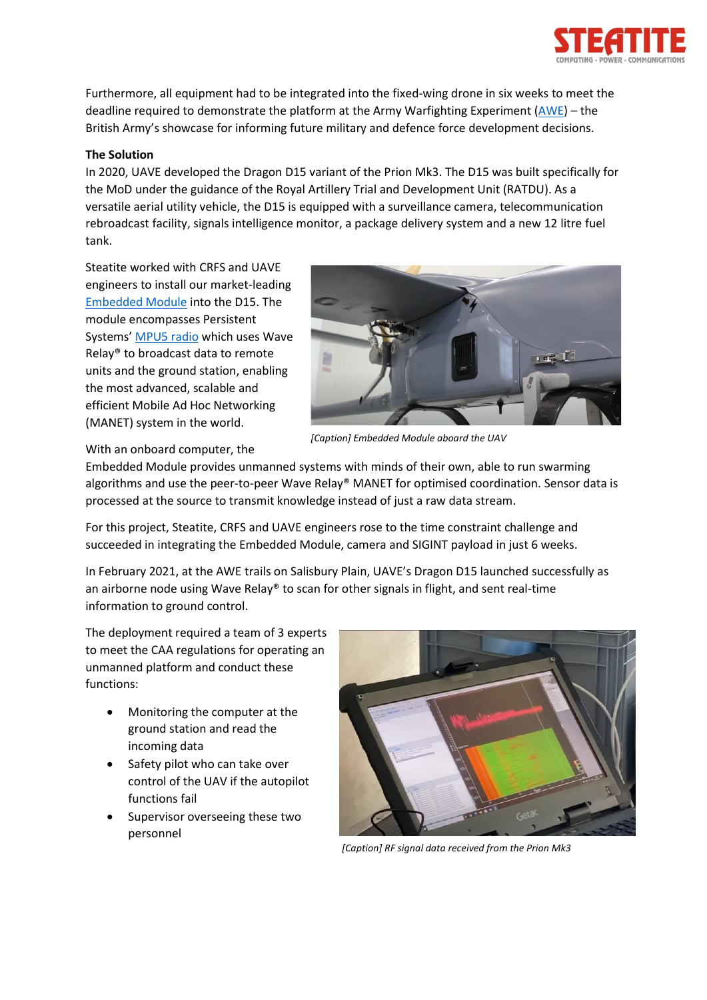

Furthermore, all equipment had to be integrated into the fixed-wing drone in six weeks to meet the deadline required to demonstrate the platform at the Army Warfighting Experiment [\(AWE\)](https://www.army.mod.uk/our-future/awe/) – the British Army's showcase for informing future military and defence force development decisions.

## **The Solution**

In 2020, UAVE developed the Dragon D15 variant of the Prion Mk3. The D15 was built specifically for the MoD under the guidance of the Royal Artillery Trial and Development Unit (RATDU). As a versatile aerial utility vehicle, the D15 is equipped with a surveillance camera, telecommunication rebroadcast facility, signals intelligence monitor, a package delivery system and a new 12 litre fuel tank.

Steatite worked with CRFS and UAVE engineers to install our market-leading [Embedded Module](https://www.steatite-communications.co.uk/embedded-module/) into the D15. The module encompasses Persistent Systems' [MPU5 radio](https://www.steatite-communications.co.uk/mpu5-radio/) which uses Wave Relay® to broadcast data to remote units and the ground station, enabling the most advanced, scalable and efficient Mobile Ad Hoc Networking (MANET) system in the world.



*[Caption] Embedded Module aboard the UAV*

With an onboard computer, the

Embedded Module provides unmanned systems with minds of their own, able to run swarming algorithms and use the peer-to-peer Wave Relay® MANET for optimised coordination. Sensor data is processed at the source to transmit knowledge instead of just a raw data stream.

For this project, Steatite, CRFS and UAVE engineers rose to the time constraint challenge and succeeded in integrating the Embedded Module, camera and SIGINT payload in just 6 weeks.

In February 2021, at the AWE trails on Salisbury Plain, UAVE's Dragon D15 launched successfully as an airborne node using Wave Relay® to scan for other signals in flight, and sent real-time information to ground control.

The deployment required a team of 3 experts to meet the CAA regulations for operating an unmanned platform and conduct these functions:

- Monitoring the computer at the ground station and read the incoming data
- Safety pilot who can take over control of the UAV if the autopilot functions fail
- Supervisor overseeing these two personnel



*[Caption] RF signal data received from the Prion Mk3*